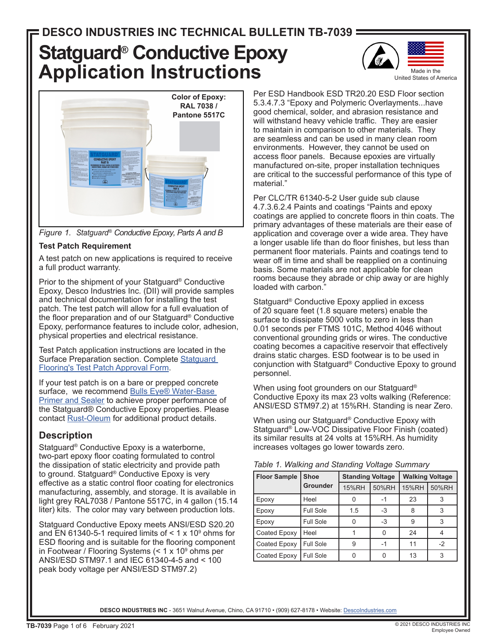# **Statguard® Conductive Epoxy Application Instructions**







#### **Test Patch Requirement**

A test patch on new applications is required to receive a full product warranty.

Prior to the shipment of your Statguard® Conductive Epoxy, Desco Industries Inc. (DII) will provide samples and technical documentation for installing the test patch. The test patch will allow for a full evaluation of the floor preparation and of our Statguard® Conductive Epoxy, performance features to include color, adhesion, physical properties and electrical resistance.

Test Patch application instructions are located in the Surface Preparation section. Complete [Statguard](https://statguard.descoindustries.com/pdf/Statguard-Flooring-Paint-Epoxy-Test-Patch.pdf)  [Flooring's Test Patch Approval Form](https://statguard.descoindustries.com/pdf/Statguard-Flooring-Paint-Epoxy-Test-Patch.pdf).

If your test patch is on a bare or prepped concrete surface, we recommend Bulls Eye® Water-Base [Primer and Sealer](https://www.rustoleum.com/product-catalog/consumer-brands/zinsser/primer-sealers/bulls-eye-water-base-primer-and-sealer/) to achieve proper performance of the Statguard® Conductive Epoxy properties. Please contact [Rust-Oleum](https://www.rustoleum.com/) for additional product details.

## **Description**

Statguard® Conductive Epoxy is a waterborne, two-part epoxy floor coating formulated to control the dissipation of static electricity and provide path to ground. Statguard® Conductive Epoxy is very effective as a static control floor coating for electronics manufacturing, assembly, and storage. It is available in light grey RAL7038 / Pantone 5517C, in 4 gallon (15.14 liter) kits. The color may vary between production lots.

Statguard Conductive Epoxy meets ANSI/ESD S20.20 and EN 61340-5-1 required limits of  $\leq$  1 x 10 $^{\circ}$  ohms for ESD flooring and is suitable for the flooring component in Footwear / Flooring Systems (< 1 x 10º ohms per ANSI/ESD STM97.1 and IEC 61340-4-5 and < 100 peak body voltage per ANSI/ESD STM97.2)

Per ESD Handbook ESD TR20.20 ESD Floor section 5.3.4.7.3 "Epoxy and Polymeric Overlayments...have good chemical, solder, and abrasion resistance and will withstand heavy vehicle traffic. They are easier to maintain in comparison to other materials. They are seamless and can be used in many clean room environments. However, they cannot be used on access floor panels. Because epoxies are virtually manufactured on-site, proper installation techniques are critical to the successful performance of this type of material."

Per CLC/TR 61340-5-2 User guide sub clause 4.7.3.6.2.4 Paints and coatings "Paints and epoxy coatings are applied to concrete floors in thin coats. The primary advantages of these materials are their ease of application and coverage over a wide area. They have a longer usable life than do floor finishes, but less than permanent floor materials. Paints and coatings tend to wear off in time and shall be reapplied on a continuing basis. Some materials are not applicable for clean rooms because they abrade or chip away or are highly loaded with carbon."

Statguard® Conductive Epoxy applied in excess of 20 square feet (1.8 square meters) enable the surface to dissipate 5000 volts to zero in less than 0.01 seconds per FTMS 101C, Method 4046 without conventional grounding grids or wires. The conductive coating becomes a capacitive reservoir that effectively drains static charges. ESD footwear is to be used in conjunction with Statguard® Conductive Epoxy to ground personnel.

When using foot grounders on our Statguard® Conductive Epoxy its max 23 volts walking (Reference: ANSI/ESD STM97.2) at 15%RH. Standing is near Zero.

When using our Statguard® Conductive Epoxy with Statguard® Low-VOC Dissipative Floor Finish (coated) its similar results at 24 volts at 15%RH. As humidity increases voltages go lower towards zero.

|  |  | Table 1. Walking and Standing Voltage Summary |
|--|--|-----------------------------------------------|
|  |  |                                               |

| <b>Floor Sample</b> | <b>Shoe</b>      | <b>Standing Voltage</b> |       | <b>Walking Voltage</b> |       |
|---------------------|------------------|-------------------------|-------|------------------------|-------|
|                     | <b>Grounder</b>  | <b>15%RH</b>            | 50%RH | <b>15%RH</b>           | 50%RH |
| Epoxy               | Heel             |                         |       | 23                     |       |
| Epoxy               | <b>Full Sole</b> | 1.5                     | -3    | 8                      |       |
| Epoxy               | <b>Full Sole</b> |                         | $-3$  | 9                      |       |
| Coated Epoxy        | Heel             |                         |       | 24                     |       |
| Coated Epoxy        | <b>Full Sole</b> | g                       | -1    | 11                     | $-2$  |
| Coated Epoxy        | Full Sole        |                         |       | 13                     | 3     |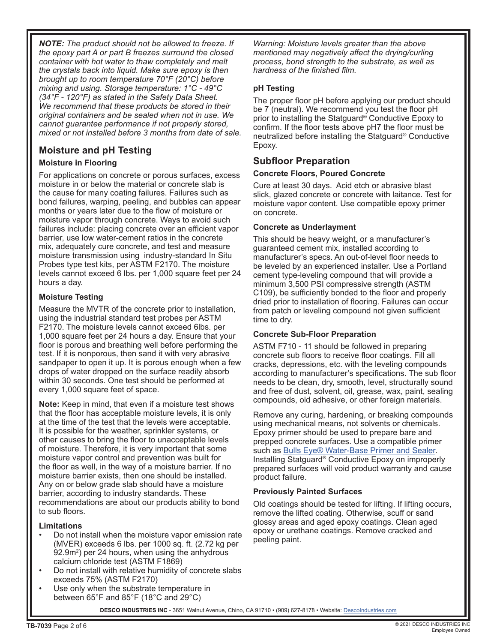*NOTE: The product should not be allowed to freeze. If the epoxy part A or part B freezes surround the closed container with hot water to thaw completely and melt the crystals back into liquid. Make sure epoxy is then brought up to room temperature 70°F (20°C) before mixing and using. Storage temperature: 1°C - 49°C (34°F - 120°F) as stated in the Safety Data Sheet. We recommend that these products be stored in their original containers and be sealed when not in use. We cannot guarantee performance if not properly stored, mixed or not installed before 3 months from date of sale.*

# **Moisture and pH Testing**

#### **Moisture in Flooring**

For applications on concrete or porous surfaces, excess moisture in or below the material or concrete slab is the cause for many coating failures. Failures such as bond failures, warping, peeling, and bubbles can appear months or years later due to the flow of moisture or moisture vapor through concrete. Ways to avoid such failures include: placing concrete over an efficient vapor barrier, use low water-cement ratios in the concrete mix, adequately cure concrete, and test and measure moisture transmission using industry-standard In Situ Probes type test kits, per ASTM F2170. The moisture levels cannot exceed 6 lbs. per 1,000 square feet per 24 hours a day.

#### **Moisture Testing**

Measure the MVTR of the concrete prior to installation, using the industrial standard test probes per ASTM F2170. The moisture levels cannot exceed 6lbs. per 1,000 square feet per 24 hours a day. Ensure that your floor is porous and breathing well before performing the test. If it is nonporous, then sand it with very abrasive sandpaper to open it up. It is porous enough when a few drops of water dropped on the surface readily absorb within 30 seconds. One test should be performed at every 1,000 square feet of space.

**Note:** Keep in mind, that even if a moisture test shows that the floor has acceptable moisture levels, it is only at the time of the test that the levels were acceptable. It is possible for the weather, sprinkler systems, or other causes to bring the floor to unacceptable levels of moisture. Therefore, it is very important that some moisture vapor control and prevention was built for the floor as well, in the way of a moisture barrier. If no moisture barrier exists, then one should be installed. Any on or below grade slab should have a moisture barrier, according to industry standards. These recommendations are about our products ability to bond to sub floors.

#### **Limitations**

- Do not install when the moisture vapor emission rate (MVER) exceeds 6 lbs. per 1000 sq. ft. (2.72 kg per 92.9m²) per 24 hours, when using the anhydrous calcium chloride test (ASTM F1869)
- Do not install with relative humidity of concrete slabs exceeds 75% (ASTM F2170)
- Use only when the substrate temperature in between 65°F and 85°F (18°C and 29°C)

*Warning: Moisture levels greater than the above mentioned may negatively affect the drying/curling process, bond strength to the substrate, as well as hardness of the finished film.*

#### **pH Testing**

The proper floor pH before applying our product should be 7 (neutral). We recommend you test the floor pH prior to installing the Statguard® Conductive Epoxy to confirm. If the floor tests above pH7 the floor must be neutralized before installing the Statguard® Conductive Epoxy.

## **Subfloor Preparation**

#### **Concrete Floors, Poured Concrete**

Cure at least 30 days. Acid etch or abrasive blast slick, glazed concrete or concrete with laitance. Test for moisture vapor content. Use compatible epoxy primer on concrete.

#### **Concrete as Underlayment**

This should be heavy weight, or a manufacturer's guaranteed cement mix, installed according to manufacturer's specs. An out-of-level floor needs to be leveled by an experienced installer. Use a Portland cement type-leveling compound that will provide a minimum 3,500 PSI compressive strength (ASTM C109), be sufficiently bonded to the floor and properly dried prior to installation of flooring. Failures can occur from patch or leveling compound not given sufficient time to dry.

#### **Concrete Sub-Floor Preparation**

ASTM F710 - 11 should be followed in preparing concrete sub floors to receive floor coatings. Fill all cracks, depressions, etc. with the leveling compounds according to manufacturer's specifications. The sub floor needs to be clean, dry, smooth, level, structurally sound and free of dust, solvent, oil, grease, wax, paint, sealing compounds, old adhesive, or other foreign materials.

Remove any curing, hardening, or breaking compounds using mechanical means, not solvents or chemicals. Epoxy primer should be used to prepare bare and prepped concrete surfaces. Use a compatible primer such as [Bulls Eye® Water-Base Primer and Sealer](https://www.rustoleum.com/product-catalog/consumer-brands/zinsser/primer-sealers/bulls-eye-water-base-primer-and-sealer/). Installing Statguard® Conductive Epoxy on improperly prepared surfaces will void product warranty and cause product failure.

#### **Previously Painted Surfaces**

Old coatings should be tested for lifting. If lifting occurs, remove the lifted coating. Otherwise, scuff or sand glossy areas and aged epoxy coatings. Clean aged epoxy or urethane coatings. Remove cracked and peeling paint.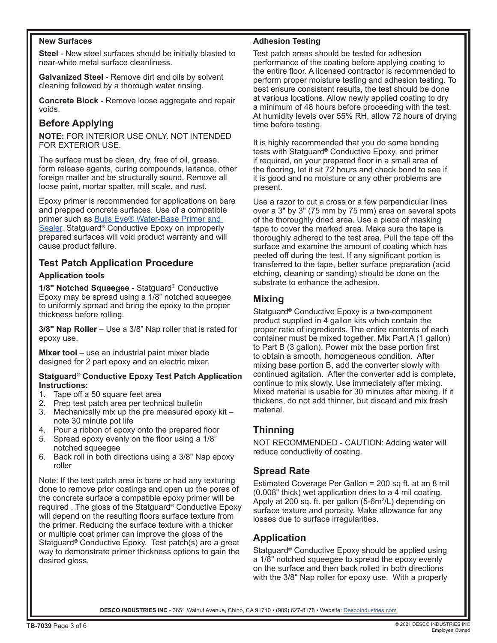#### **New Surfaces**

**Steel** - New steel surfaces should be initially blasted to near-white metal surface cleanliness.

**Galvanized Steel** - Remove dirt and oils by solvent cleaning followed by a thorough water rinsing.

**Concrete Block** - Remove loose aggregate and repair voids.

## **Before Applying**

**NOTE:** FOR INTERIOR USE ONLY. NOT INTENDED FOR EXTERIOR USE.

The surface must be clean, dry, free of oil, grease, form release agents, curing compounds, laitance, other foreign matter and be structurally sound. Remove all loose paint, mortar spatter, mill scale, and rust.

Epoxy primer is recommended for applications on bare and prepped concrete surfaces. Use of a compatible primer such as [Bulls Eye® Water-Base Primer and](https://www.rustoleum.com/product-catalog/consumer-brands/zinsser/primer-sealers/bulls-eye-water-base-primer-and-sealer/)  [Sealer](https://www.rustoleum.com/product-catalog/consumer-brands/zinsser/primer-sealers/bulls-eye-water-base-primer-and-sealer/). Statguard<sup>®</sup> Conductive Epoxy on improperly prepared surfaces will void product warranty and will cause product failure.

## **Test Patch Application Procedure**

#### **Application tools**

**1/8" Notched Squeegee** - Statguard® Conductive Epoxy may be spread using a 1/8" notched squeegee to uniformly spread and bring the epoxy to the proper thickness before rolling.

**3/8" Nap Roller** – Use a 3/8" Nap roller that is rated for epoxy use.

**Mixer tool** – use an industrial paint mixer blade designed for 2 part epoxy and an electric mixer.

#### **Statguard® Conductive Epoxy Test Patch Application Instructions:**

- 1. Tape off a 50 square feet area
- 2. Prep test patch area per technical bulletin
- 3. Mechanically mix up the pre measured epoxy kit note 30 minute pot life
- 4. Pour a ribbon of epoxy onto the prepared floor
- 5. Spread epoxy evenly on the floor using a 1/8" notched squeegee
- 6. Back roll in both directions using a 3/8" Nap epoxy roller

Note: If the test patch area is bare or had any texturing done to remove prior coatings and open up the pores of the concrete surface a compatible epoxy primer will be required . The gloss of the Statguard® Conductive Epoxy will depend on the resulting floors surface texture from the primer. Reducing the surface texture with a thicker or multiple coat primer can improve the gloss of the Statguard® Conductive Epoxy. Test patch(s) are a great way to demonstrate primer thickness options to gain the desired gloss.

#### **Adhesion Testing**

Test patch areas should be tested for adhesion performance of the coating before applying coating to the entire floor. A licensed contractor is recommended to perform proper moisture testing and adhesion testing. To best ensure consistent results, the test should be done at various locations. Allow newly applied coating to dry a minimum of 48 hours before proceeding with the test. At humidity levels over 55% RH, allow 72 hours of drying time before testing.

It is highly recommended that you do some bonding tests with Statguard® Conductive Epoxy, and primer if required, on your prepared floor in a small area of the flooring, let it sit 72 hours and check bond to see if it is good and no moisture or any other problems are present.

Use a razor to cut a cross or a few perpendicular lines over a 3" by 3" (75 mm by 75 mm) area on several spots of the thoroughly dried area. Use a piece of masking tape to cover the marked area. Make sure the tape is thoroughly adhered to the test area. Pull the tape off the surface and examine the amount of coating which has peeled off during the test. If any significant portion is transferred to the tape, better surface preparation (acid etching, cleaning or sanding) should be done on the substrate to enhance the adhesion.

## **Mixing**

Statguard® Conductive Epoxy is a two-component product supplied in 4 gallon kits which contain the proper ratio of ingredients. The entire contents of each container must be mixed together. Mix Part A (1 gallon) to Part B (3 gallon). Power mix the base portion first to obtain a smooth, homogeneous condition. After mixing base portion B, add the converter slowly with continued agitation. After the converter add is complete, continue to mix slowly. Use immediately after mixing. Mixed material is usable for 30 minutes after mixing. If it thickens, do not add thinner, but discard and mix fresh material.

## **Thinning**

NOT RECOMMENDED - CAUTION: Adding water will reduce conductivity of coating.

## **Spread Rate**

Estimated Coverage Per Gallon = 200 sq ft. at an 8 mil (0.008" thick) wet application dries to a 4 mil coating. Apply at 200 sq. ft. per gallon (5-6m²/L) depending on surface texture and porosity. Make allowance for any losses due to surface irregularities.

## **Application**

Statguard® Conductive Epoxy should be applied using a 1/8" notched squeegee to spread the epoxy evenly on the surface and then back rolled in both directions with the 3/8" Nap roller for epoxy use. With a properly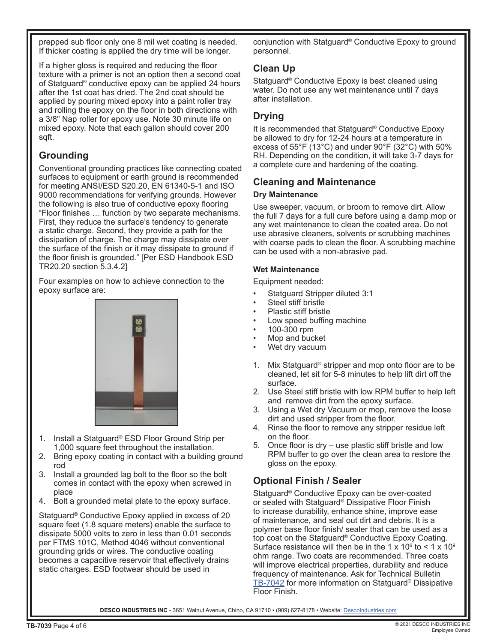prepped sub floor only one 8 mil wet coating is needed. If thicker coating is applied the dry time will be longer.

If a higher gloss is required and reducing the floor texture with a primer is not an option then a second coat of Statguard® conductive epoxy can be applied 24 hours after the 1st coat has dried. The 2nd coat should be applied by pouring mixed epoxy into a paint roller tray and rolling the epoxy on the floor in both directions with a 3/8" Nap roller for epoxy use. Note 30 minute life on mixed epoxy. Note that each gallon should cover 200 sqft.

# **Grounding**

Conventional grounding practices like connecting coated surfaces to equipment or earth ground is recommended for meeting ANSI/ESD S20.20, EN 61340-5-1 and ISO 9000 recommendations for verifying grounds. However the following is also true of conductive epoxy flooring "Floor finishes … function by two separate mechanisms. First, they reduce the surface's tendency to generate a static charge. Second, they provide a path for the dissipation of charge. The charge may dissipate over the surface of the finish or it may dissipate to ground if the floor finish is grounded." [Per ESD Handbook ESD TR20.20 section 5.3.4.2]

Four examples on how to achieve connection to the epoxy surface are:



- 1. Install a Statguard® ESD Floor Ground Strip per 1,000 square feet throughout the installation.
- 2. Bring epoxy coating in contact with a building ground rod
- 3. Install a grounded lag bolt to the floor so the bolt comes in contact with the epoxy when screwed in place
- 4. Bolt a grounded metal plate to the epoxy surface.

Statguard® Conductive Epoxy applied in excess of 20 square feet (1.8 square meters) enable the surface to dissipate 5000 volts to zero in less than 0.01 seconds per FTMS 101C, Method 4046 without conventional grounding grids or wires. The conductive coating becomes a capacitive reservoir that effectively drains static charges. ESD footwear should be used in

conjunction with Statguard® Conductive Epoxy to ground personnel.

## **Clean Up**

Statguard® Conductive Epoxy is best cleaned using water. Do not use any wet maintenance until 7 days after installation.

## **Drying**

It is recommended that Statguard® Conductive Epoxy be allowed to dry for 12-24 hours at a temperature in excess of 55°F (13°C) and under 90°F (32°C) with 50% RH. Depending on the condition, it will take 3-7 days for a complete cure and hardening of the coating.

## **Cleaning and Maintenance**

#### **Dry Maintenance**

Use sweeper, vacuum, or broom to remove dirt. Allow the full 7 days for a full cure before using a damp mop or any wet maintenance to clean the coated area. Do not use abrasive cleaners, solvents or scrubbing machines with coarse pads to clean the floor. A scrubbing machine can be used with a non-abrasive pad.

#### **Wet Maintenance**

Equipment needed:

- Statguard Stripper diluted 3:1
- Steel stiff bristle
- Plastic stiff bristle
- Low speed buffing machine
- 100-300 rpm
- Mop and bucket
- Wet dry vacuum
- 1. Mix Statguard® stripper and mop onto floor are to be cleaned, let sit for 5-8 minutes to help lift dirt off the surface.
- 2. Use Steel stiff bristle with low RPM buffer to help left and remove dirt from the epoxy surface.
- 3. Using a Wet dry Vacuum or mop, remove the loose dirt and used stripper from the floor.
- 4. Rinse the floor to remove any stripper residue left on the floor.
- 5. Once floor is dry use plastic stiff bristle and low RPM buffer to go over the clean area to restore the gloss on the epoxy.

## **Optional Finish / Sealer**

Statguard<sup>®</sup> Conductive Epoxy can be over-coated or sealed with Statguard® Dissipative Floor Finish to increase durability, enhance shine, improve ease of maintenance, and seal out dirt and debris. It is a polymer base floor finish/ sealer that can be used as a top coat on the Statguard® Conductive Epoxy Coating. Surface resistance will then be in the 1 x 10 $^{\circ}$  to < 1 x 10 $^{\circ}$ ohm range. Two coats are recommended. Three coats will improve electrical properties, durability and reduce frequency of maintenance. Ask for Technical Bulletin [TB-7042](http://www.descoindustries.com/pdf/TB-7042.pdf) for more information on Statguard® Dissipative Floor Finish.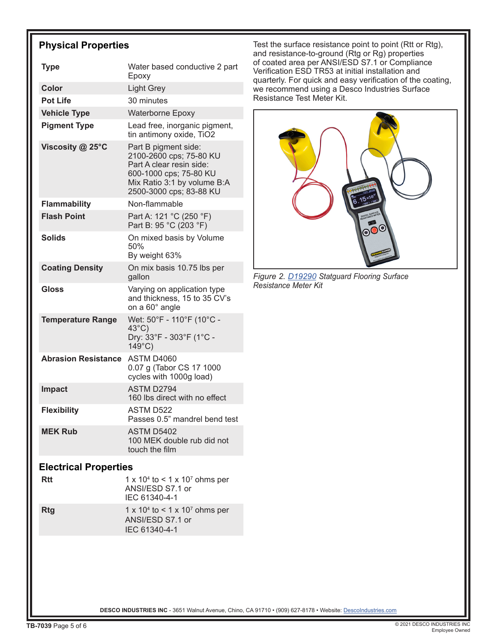## **Physical Properties**

| <b>Type</b>                  | Water based conductive 2 part<br>Epoxy                                                                                                                          |  |  |  |
|------------------------------|-----------------------------------------------------------------------------------------------------------------------------------------------------------------|--|--|--|
| <b>Color</b>                 | <b>Light Grey</b>                                                                                                                                               |  |  |  |
| <b>Pot Life</b>              | 30 minutes                                                                                                                                                      |  |  |  |
| <b>Vehicle Type</b>          | <b>Waterborne Epoxy</b>                                                                                                                                         |  |  |  |
| <b>Pigment Type</b>          | Lead free, inorganic pigment,<br>tin antimony oxide, TiO2                                                                                                       |  |  |  |
| Viscosity @ 25°C             | Part B pigment side:<br>2100-2600 cps; 75-80 KU<br>Part A clear resin side:<br>600-1000 cps; 75-80 KU<br>Mix Ratio 3:1 by volume B:A<br>2500-3000 cps; 83-88 KU |  |  |  |
| <b>Flammability</b>          | Non-flammable                                                                                                                                                   |  |  |  |
| <b>Flash Point</b>           | Part A: 121 °C (250 °F)<br>Part B: 95 °C (203 °F)                                                                                                               |  |  |  |
| Solids                       | On mixed basis by Volume<br>50%<br>By weight 63%                                                                                                                |  |  |  |
| <b>Coating Density</b>       | On mix basis 10.75 lbs per<br>gallon                                                                                                                            |  |  |  |
| Gloss                        | Varying on application type<br>and thickness, 15 to 35 CV's<br>on a 60° angle                                                                                   |  |  |  |
| <b>Temperature Range</b>     | Wet: 50°F - 110°F (10°C -<br>$43^{\circ}$ C)<br>Dry: 33°F - 303°F (1°C -<br>$149^{\circ}$ C)                                                                    |  |  |  |
| <b>Abrasion Resistance</b>   | ASTM D4060<br>0.07 g (Tabor CS 17 1000<br>cycles with 1000g load)                                                                                               |  |  |  |
| <b>Impact</b>                | ASTM D2794<br>160 lbs direct with no effect                                                                                                                     |  |  |  |
| <b>Flexibility</b>           | ASTM D522<br>Passes 0.5" mandrel bend test                                                                                                                      |  |  |  |
| <b>MEK Rub</b>               | <b>ASTM D5402</b><br>100 MEK double rub did not<br>touch the film                                                                                               |  |  |  |
| <b>Electrical Properties</b> |                                                                                                                                                                 |  |  |  |
| Rtt                          | 1 x 10 <sup>4</sup> to < 1 x 10 <sup>7</sup> ohms per<br>ANSI/ESD S7.1 or<br>IEC 61340-4-1                                                                      |  |  |  |

**Rtg** 1 x 10<sup>4</sup> to < 1 x 10<sup>7</sup> ohms per ANSI/ESD S7.1 or IEC 61340-4-1

Test the surface resistance point to point (Rtt or Rtg), and resistance-to-ground (Rtg or Rg) properties of coated area per ANSI/ESD S7.1 or Compliance Verification ESD TR53 at initial installation and quarterly. For quick and easy verification of the coating, we recommend using a Desco Industries Surface Resistance Test Meter Kit.



*Figure 2. [D19290](https://statguard.descoindustries.com/StatguardFlooringCatalog/Measurement-Meters/D19290/) Statguard Flooring Surface Resistance Meter Kit*